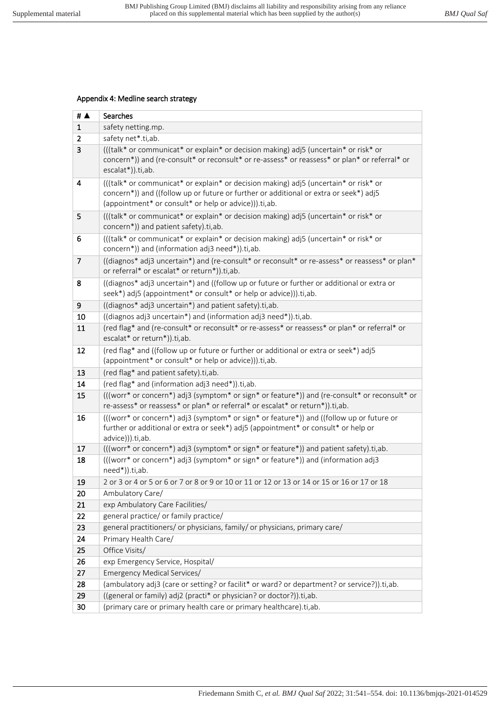## Appendix 4: Medline search strategy

| # $\blacktriangle$ | Searches                                                                                                                                                                                                                               |
|--------------------|----------------------------------------------------------------------------------------------------------------------------------------------------------------------------------------------------------------------------------------|
| $\mathbf{1}$       | safety netting.mp.                                                                                                                                                                                                                     |
| 2                  | safety net*.ti,ab.                                                                                                                                                                                                                     |
| 3                  | (((talk* or communicat* or explain* or decision making) adj5 (uncertain* or risk* or<br>concern*)) and (re-consult* or reconsult* or re-assess* or reassess* or plan* or referral* or<br>escalat*)).ti,ab.                             |
| 4                  | (((talk* or communicat* or explain* or decision making) adj5 (uncertain* or risk* or<br>concern*)) and ((follow up or future or further or additional or extra or seek*) adj5<br>(appointment* or consult* or help or advice))).ti,ab. |
| 5                  | (((talk* or communicat* or explain* or decision making) adj5 (uncertain* or risk* or<br>concern*)) and patient safety).ti,ab.                                                                                                          |
| 6                  | (((talk* or communicat* or explain* or decision making) adj5 (uncertain* or risk* or<br>concern*)) and (information adj3 need*)).ti,ab.                                                                                                |
| $\overline{7}$     | ((diagnos* adj3 uncertain*) and (re-consult* or reconsult* or re-assess* or reassess* or plan*<br>or referral* or escalat* or return*)).ti,ab.                                                                                         |
| 8                  | ((diagnos* adj3 uncertain*) and ((follow up or future or further or additional or extra or<br>seek*) adj5 (appointment* or consult* or help or advice))).ti,ab.                                                                        |
| 9                  | ((diagnos* adj3 uncertain*) and patient safety).ti,ab.                                                                                                                                                                                 |
| 10                 | ((diagnos adj3 uncertain*) and (information adj3 need*)).ti,ab.                                                                                                                                                                        |
| 11                 | (red flag* and (re-consult* or reconsult* or re-assess* or reassess* or plan* or referral* or<br>escalat* or return*)).ti,ab.                                                                                                          |
| 12                 | (red flag* and ((follow up or future or further or additional or extra or seek*) adj5<br>(appointment* or consult* or help or advice))).ti,ab.                                                                                         |
| 13                 | (red flag* and patient safety).ti,ab.                                                                                                                                                                                                  |
| 14                 | (red flag* and (information adj3 need*)).ti,ab.                                                                                                                                                                                        |
| 15                 | (((worr* or concern*) adj3 (symptom* or sign* or feature*)) and (re-consult* or reconsult* or<br>re-assess* or reassess* or plan* or referral* or escalat* or return*)).ti,ab.                                                         |
| 16                 | (((worr* or concern*) adj3 (symptom* or sign* or feature*)) and ((follow up or future or<br>further or additional or extra or seek*) adj5 (appointment* or consult* or help or<br>advice))).ti,ab.                                     |
| 17                 | (((worr* or concern*) adj3 (symptom* or sign* or feature*)) and patient safety).ti,ab.                                                                                                                                                 |
| 18                 | (((worr* or concern*) adj3 (symptom* or sign* or feature*)) and (information adj3<br>need*)).ti,ab.                                                                                                                                    |
| 19                 | 2 or 3 or 4 or 5 or 6 or 7 or 8 or 9 or 10 or 11 or 12 or 13 or 14 or 15 or 16 or 17 or 18                                                                                                                                             |
| 20                 | Ambulatory Care/                                                                                                                                                                                                                       |
| 21                 | exp Ambulatory Care Facilities/                                                                                                                                                                                                        |
| 22                 | general practice/ or family practice/                                                                                                                                                                                                  |
| 23                 | general practitioners/ or physicians, family/ or physicians, primary care/                                                                                                                                                             |
| 24                 | Primary Health Care/                                                                                                                                                                                                                   |
| 25                 | Office Visits/                                                                                                                                                                                                                         |
| 26                 | exp Emergency Service, Hospital/                                                                                                                                                                                                       |
| 27                 | Emergency Medical Services/                                                                                                                                                                                                            |
| 28                 | (ambulatory adj3 (care or setting? or facilit* or ward? or department? or service?)).ti,ab.                                                                                                                                            |
| 29                 | ((general or family) adj2 (practi* or physician? or doctor?)).ti,ab.                                                                                                                                                                   |
| 30                 | (primary care or primary health care or primary healthcare).ti,ab.                                                                                                                                                                     |